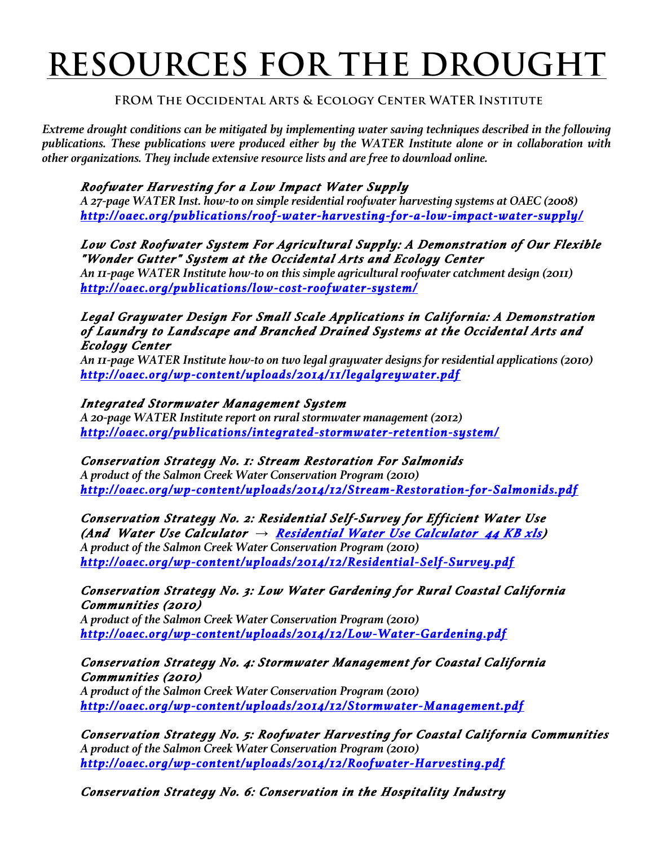# **RESOURCES FOR THE DROUGHT**

# **FROM The Occidental Arts & Ecology Center WATER Institute**

*Extreme drought conditions can be mitigated by implementing water saving techniques described in the following publications. These publications were produced either by the WATER Institute alone or in collaboration with other organizations. They include extensive resource lists and are free to download online.* 

# *Roofwater Harvesting for a Low Impact Water Supply*

*A 27-page WATER Inst. how-to on simple residential roofwater harvesting systems at OAEC (2008) http://oaec.org/publications/roof-water-harvesting-for-a-low-impact-water-supply/* 

*Low Cost Roofwater System For Agricultural Supply: A Demonstration of Our Flexible "Wonder Gutter" System at the Occidental Arts and Ecology Center* 

*An 11-page WATER Institute how-to on this simple agricultural roofwater catchment design (2011) http://oaec.org/publications/low-cost-roofwater-system/* 

*Legal Graywater Design For Small Scale Applications in California: A Demonstration of Laundry to Landscape and Branched Drained Systems at the Occidental Arts and Ecology Center* 

*An 11-page WATER Institute how-to on two legal graywater designs for residential applications (2010) http://oaec.org/wp-content/uploads/2014/11/legalgreywater.pdf* 

#### *Integrated Stormwater Management System*

*A 20-page WATER Institute report on rural stormwater management (2012) http://oaec.org/publications/integrated-stormwater-retention-system/* 

*Conservation Strategy No. 1: Stream Restoration For Salmonids A product of the Salmon Creek Water Conservation Program (2010) http://oaec.org/wp-content/uploads/2014/12/Stream-Restoration-for-Salmonids.pdf* 

*Conservation Strategy No. 2: Residential Self-Survey for Efficient Water Use (And Water Use Calculator → Residential Water Use Calculator 44 KB xls) A product of the Salmon Creek Water Conservation Program (2010) http://oaec.org/wp-content/uploads/2014/12/Residential-Self-Survey.pdf* 

### *Conservation Strategy No. 3: Low Water Gardening for Rural Coastal California Communities (2010)*

*A product of the Salmon Creek Water Conservation Program (2010) http://oaec.org/wp-content/uploads/2014/12/Low-Water-Gardening.pdf* 

#### *Conservation Strategy No. 4: Stormwater Management for Coastal California Communities (2010)*

*A product of the Salmon Creek Water Conservation Program (2010) http://oaec.org/wp-content/uploads/2014/12/Stormwater-Management.pdf* 

*Conservation Strategy No. 5: Roofwater Harvesting for Coastal California Communities A product of the Salmon Creek Water Conservation Program (2010) http://oaec.org/wp-content/uploads/2014/12/Roofwater-Harvesting.pdf* 

*Conservation Strategy No. 6: Conservation in the Hospitality Industry*